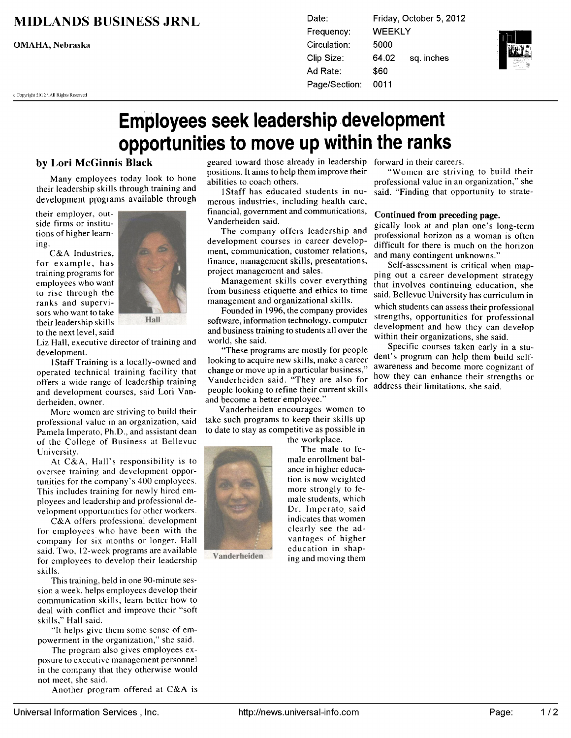## **MIDLANDS BUSINESS JRNL**

OMAHA, Nebraska

c Copyright 2012 \ All Rights Reserved

Friday, October 5, 2012 Date: **WEEKLY** Frequency: Circulation: 5000 64.02 Clip Size: Ad Rate: \$60 Page/Section: 0011

sq. inches



# Employees seek leadership development opportunities to move up within the ranks

### by Lori McGinnis Black

Many employees today look to hone their leadership skills through training and development programs available through

their employer, outside firms or institutions of higher learning.

C&A Industries, for example, has training programs for employees who want to rise through the ranks and supervisors who want to take their leadership skills to the next level, said



Liz Hall, executive director of training and development.

1Staff Training is a locally-owned and operated technical training facility that offers a wide range of leadership training and development courses, said Lori Vanderheiden, owner.

More women are striving to build their professional value in an organization, said Pamela Imperato, Ph.D., and assistant dean of the College of Business at Bellevue University.

At C&A, Hall's responsibility is to oversee training and development opportunities for the company's 400 employees. This includes training for newly hired employees and leadership and professional development opportunities for other workers.

C&A offers professional development for employees who have been with the company for six months or longer, Hall said. Two, 12-week programs are available for employees to develop their leadership skills.

This training, held in one 90-minute session a week, helps employees develop their communication skills, learn better how to deal with conflict and improve their "soft skills," Hall said.

"It helps give them some sense of empowerment in the organization," she said.

The program also gives employees exposure to executive management personnel in the company that they otherwise would not meet, she said.

Another program offered at C&A is

geared toward those already in leadership forward in their careers. positions. It aims to help them improve their abilities to coach others.

Staff has educated students in numerous industries, including health care, financial, government and communications, Vanderheiden said.

The company offers leadership and development courses in career development, communication, customer relations, finance, management skills, presentations, project management and sales.

Management skills cover everything from business etiquette and ethics to time management and organizational skills.

Founded in 1996, the company provides software, information technology, computer and business training to students all over the world, she said.

"These programs are mostly for people looking to acquire new skills, make a career change or move up in a particular business," Vanderheiden said. "They are also for people looking to refine their current skills and become a better employee."

Vanderheiden encourages women to take such programs to keep their skills up to date to stay as competitive as possible in the workplace.

Vanderheiden

The male to female enrollment balance in higher education is now weighted more strongly to female students, which Dr. Imperato said indicates that women clearly see the advantages of higher education in shaping and moving them

"Women are striving to build their professional value in an organization," she said. "Finding that opportunity to strate-

#### Continued from preceding page.

gically look at and plan one's long-term professional horizon as woman is often difficult for there is much on the horizon and many contingent unknowns."

Self-assessment is critical when mapping out a career development strategy that involves continuing education, she said. Bellevue University has curriculum in which students can assess their professional strengths, opportunities for professional development and how they can develop within their organizations, she said.

Specific courses taken early in a student's program can help them build selfawareness and become more cognizant of how they can enhance their strengths or address their limitations, she said.